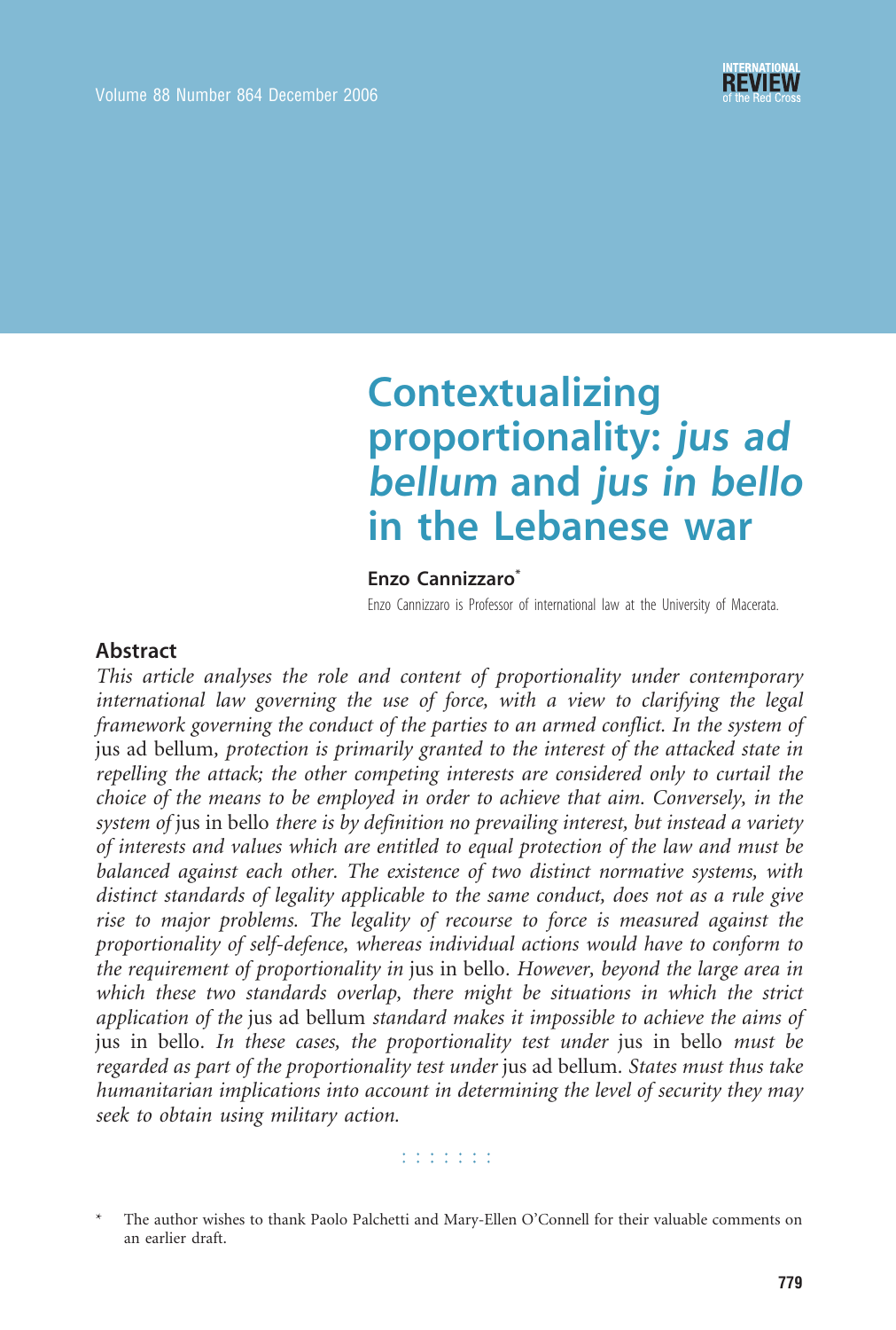

# **Contextualizing** proportionality: jus ad bellum and jus in bello in the Lebanese war

#### Enzo Cannizzaro\*

Enzo Cannizzaro is Professor of international law at the University of Macerata.

## Abstract

This article analyses the role and content of proportionality under contemporary international law governing the use of force, with a view to clarifying the legal framework governing the conduct of the parties to an armed conflict. In the system of jus ad bellum, protection is primarily granted to the interest of the attacked state in repelling the attack; the other competing interests are considered only to curtail the choice of the means to be employed in order to achieve that aim. Conversely, in the system of jus in bello there is by definition no prevailing interest, but instead a variety of interests and values which are entitled to equal protection of the law and must be balanced against each other. The existence of two distinct normative systems, with distinct standards of legality applicable to the same conduct, does not as a rule give rise to major problems. The legality of recourse to force is measured against the proportionality of self-defence, whereas individual actions would have to conform to the requirement of proportionality in jus in bello. However, beyond the large area in which these two standards overlap, there might be situations in which the strict application of the jus ad bellum standard makes it impossible to achieve the aims of jus in bello. In these cases, the proportionality test under jus in bello must be regarded as part of the proportionality test under jus ad bellum. States must thus take humanitarian implications into account in determining the level of security they may seek to obtain using military action.

n na na n

The author wishes to thank Paolo Palchetti and Mary-Ellen O'Connell for their valuable comments on an earlier draft.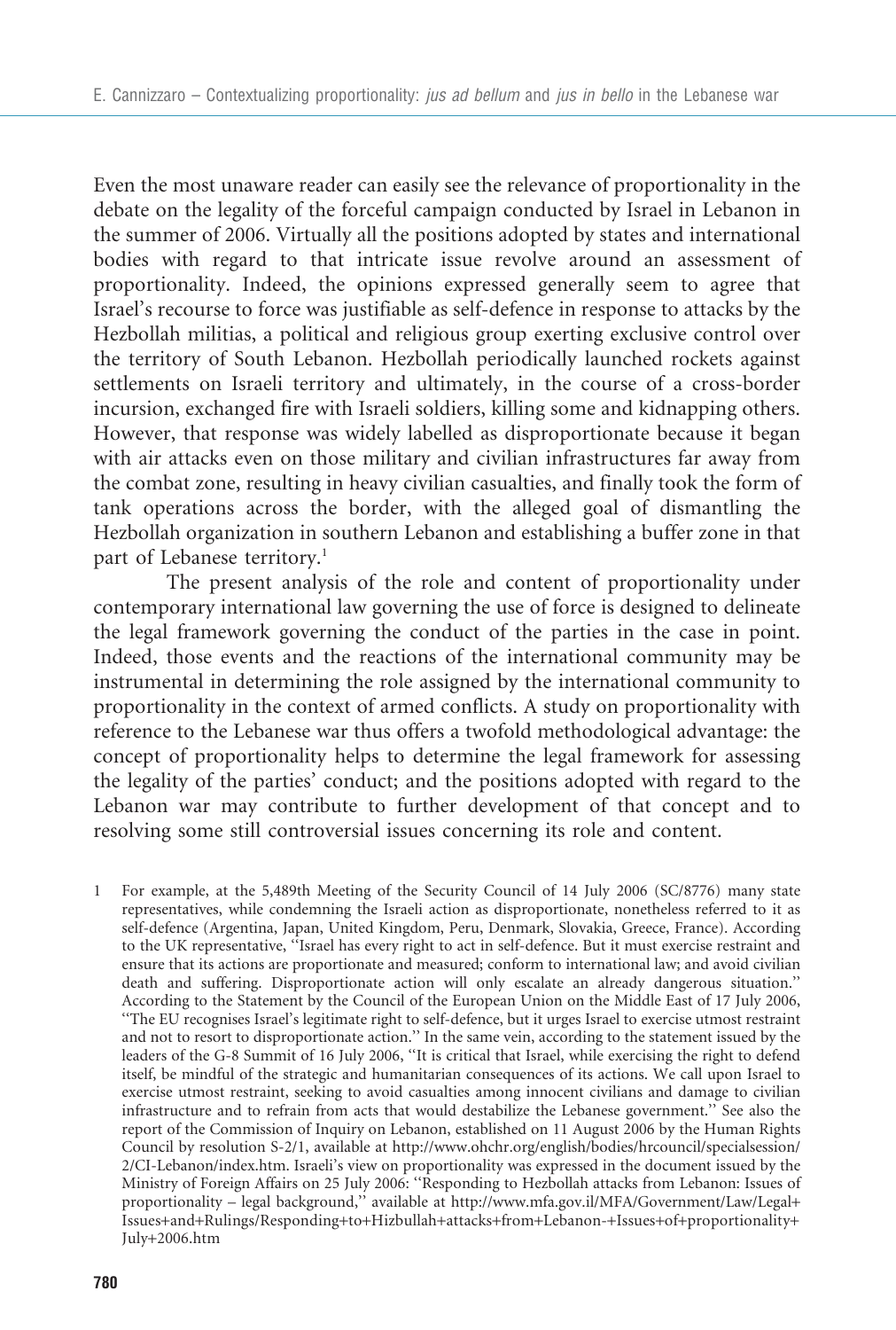Even the most unaware reader can easily see the relevance of proportionality in the debate on the legality of the forceful campaign conducted by Israel in Lebanon in the summer of 2006. Virtually all the positions adopted by states and international bodies with regard to that intricate issue revolve around an assessment of proportionality. Indeed, the opinions expressed generally seem to agree that Israel's recourse to force was justifiable as self-defence in response to attacks by the Hezbollah militias, a political and religious group exerting exclusive control over the territory of South Lebanon. Hezbollah periodically launched rockets against settlements on Israeli territory and ultimately, in the course of a cross-border incursion, exchanged fire with Israeli soldiers, killing some and kidnapping others. However, that response was widely labelled as disproportionate because it began with air attacks even on those military and civilian infrastructures far away from the combat zone, resulting in heavy civilian casualties, and finally took the form of tank operations across the border, with the alleged goal of dismantling the Hezbollah organization in southern Lebanon and establishing a buffer zone in that part of Lebanese territory.<sup>1</sup>

The present analysis of the role and content of proportionality under contemporary international law governing the use of force is designed to delineate the legal framework governing the conduct of the parties in the case in point. Indeed, those events and the reactions of the international community may be instrumental in determining the role assigned by the international community to proportionality in the context of armed conflicts. A study on proportionality with reference to the Lebanese war thus offers a twofold methodological advantage: the concept of proportionality helps to determine the legal framework for assessing the legality of the parties' conduct; and the positions adopted with regard to the Lebanon war may contribute to further development of that concept and to resolving some still controversial issues concerning its role and content.

1 For example, at the 5,489th Meeting of the Security Council of 14 July 2006 (SC/8776) many state representatives, while condemning the Israeli action as disproportionate, nonetheless referred to it as self-defence (Argentina, Japan, United Kingdom, Peru, Denmark, Slovakia, Greece, France). According to the UK representative, ''Israel has every right to act in self-defence. But it must exercise restraint and ensure that its actions are proportionate and measured; conform to international law; and avoid civilian death and suffering. Disproportionate action will only escalate an already dangerous situation.'' According to the Statement by the Council of the European Union on the Middle East of 17 July 2006, ''The EU recognises Israel's legitimate right to self-defence, but it urges Israel to exercise utmost restraint and not to resort to disproportionate action.'' In the same vein, according to the statement issued by the leaders of the G-8 Summit of 16 July 2006, ''It is critical that Israel, while exercising the right to defend itself, be mindful of the strategic and humanitarian consequences of its actions. We call upon Israel to exercise utmost restraint, seeking to avoid casualties among innocent civilians and damage to civilian infrastructure and to refrain from acts that would destabilize the Lebanese government.'' See also the report of the Commission of Inquiry on Lebanon, established on 11 August 2006 by the Human Rights Council by resolution S-2/1, available at http://www.ohchr.org/english/bodies/hrcouncil/specialsession/ 2/CI-Lebanon/index.htm. Israeli's view on proportionality was expressed in the document issued by the Ministry of Foreign Affairs on 25 July 2006: ''Responding to Hezbollah attacks from Lebanon: Issues of proportionality – legal background,'' available at http://www.mfa.gov.il/MFA/Government/Law/Legal+ Issues+and+Rulings/Responding+to+Hizbullah+attacks+from+Lebanon-+Issues+of+proportionality+ July+2006.htm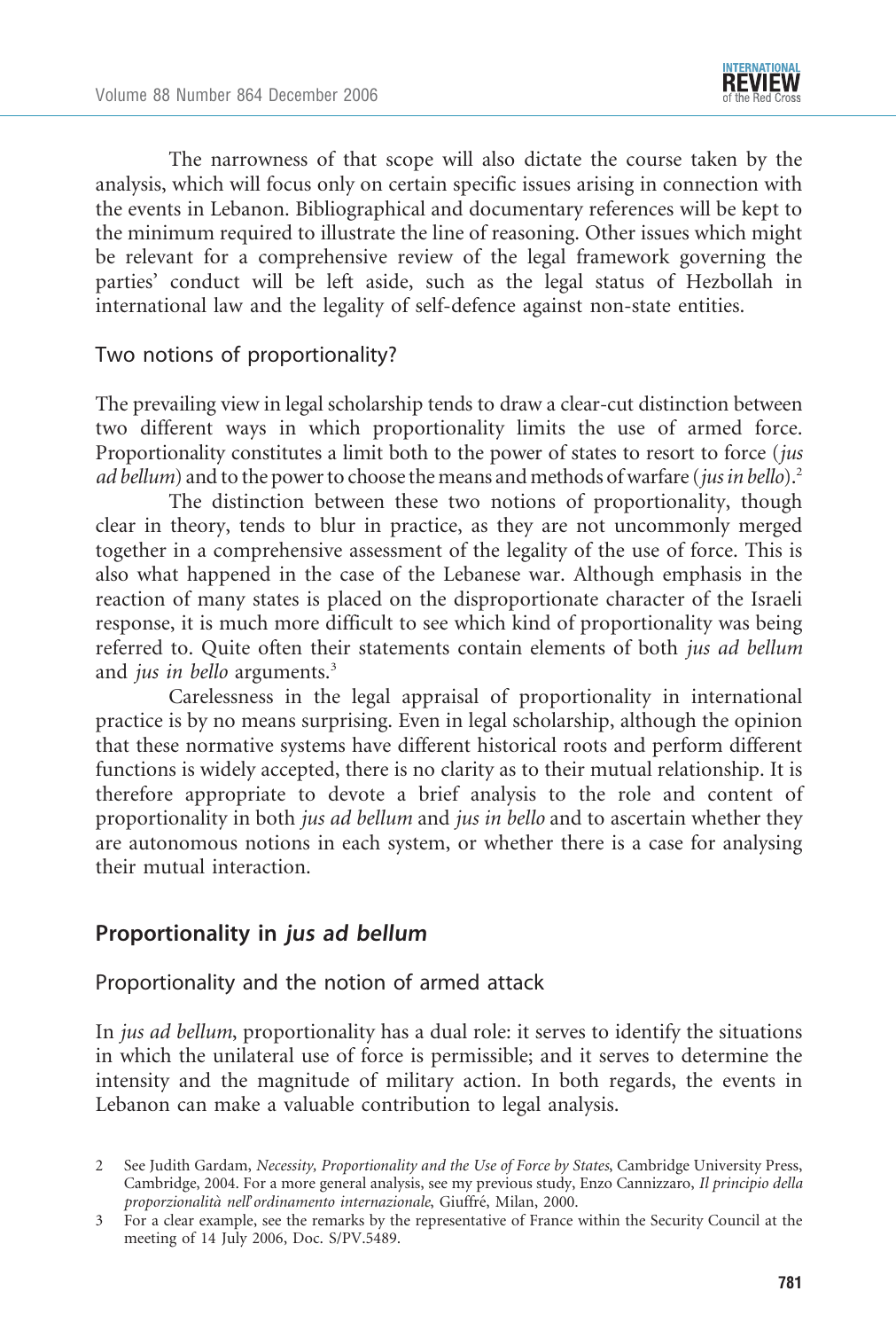

The narrowness of that scope will also dictate the course taken by the analysis, which will focus only on certain specific issues arising in connection with the events in Lebanon. Bibliographical and documentary references will be kept to the minimum required to illustrate the line of reasoning. Other issues which might be relevant for a comprehensive review of the legal framework governing the parties' conduct will be left aside, such as the legal status of Hezbollah in international law and the legality of self-defence against non-state entities.

## Two notions of proportionality?

The prevailing view in legal scholarship tends to draw a clear-cut distinction between two different ways in which proportionality limits the use of armed force. Proportionality constitutes a limit both to the power of states to resort to force (jus ad bellum) and to the power to choose the means and methods of warfare (jus in bello).<sup>2</sup>

The distinction between these two notions of proportionality, though clear in theory, tends to blur in practice, as they are not uncommonly merged together in a comprehensive assessment of the legality of the use of force. This is also what happened in the case of the Lebanese war. Although emphasis in the reaction of many states is placed on the disproportionate character of the Israeli response, it is much more difficult to see which kind of proportionality was being referred to. Quite often their statements contain elements of both *jus ad bellum* and *jus in bello* arguments. $3$ 

Carelessness in the legal appraisal of proportionality in international practice is by no means surprising. Even in legal scholarship, although the opinion that these normative systems have different historical roots and perform different functions is widely accepted, there is no clarity as to their mutual relationship. It is therefore appropriate to devote a brief analysis to the role and content of proportionality in both jus ad bellum and jus in bello and to ascertain whether they are autonomous notions in each system, or whether there is a case for analysing their mutual interaction.

# Proportionality in jus ad bellum

#### Proportionality and the notion of armed attack

In *jus ad bellum*, proportionality has a dual role: it serves to identify the situations in which the unilateral use of force is permissible; and it serves to determine the intensity and the magnitude of military action. In both regards, the events in Lebanon can make a valuable contribution to legal analysis.

See Judith Gardam, Necessity, Proportionality and the Use of Force by States, Cambridge University Press, Cambridge, 2004. For a more general analysis, see my previous study, Enzo Cannizzaro, Il principio della proporzionalità nell'ordinamento internazionale, Giuffré, Milan, 2000.

<sup>3</sup> For a clear example, see the remarks by the representative of France within the Security Council at the meeting of 14 July 2006, Doc. S/PV.5489.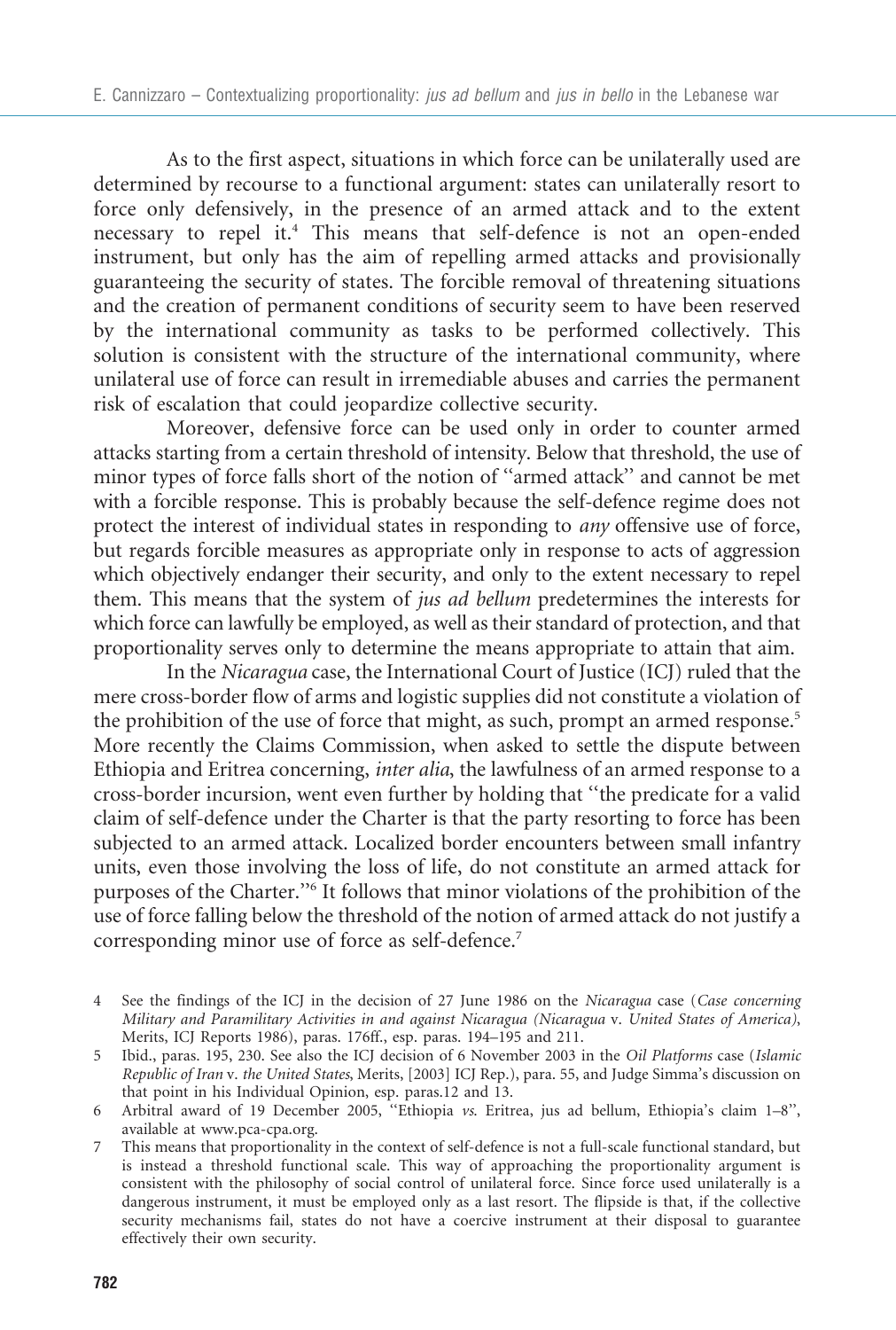As to the first aspect, situations in which force can be unilaterally used are determined by recourse to a functional argument: states can unilaterally resort to force only defensively, in the presence of an armed attack and to the extent necessary to repel it.<sup>4</sup> This means that self-defence is not an open-ended instrument, but only has the aim of repelling armed attacks and provisionally guaranteeing the security of states. The forcible removal of threatening situations and the creation of permanent conditions of security seem to have been reserved by the international community as tasks to be performed collectively. This solution is consistent with the structure of the international community, where unilateral use of force can result in irremediable abuses and carries the permanent risk of escalation that could jeopardize collective security.

Moreover, defensive force can be used only in order to counter armed attacks starting from a certain threshold of intensity. Below that threshold, the use of minor types of force falls short of the notion of ''armed attack'' and cannot be met with a forcible response. This is probably because the self-defence regime does not protect the interest of individual states in responding to *any* offensive use of force, but regards forcible measures as appropriate only in response to acts of aggression which objectively endanger their security, and only to the extent necessary to repel them. This means that the system of jus ad bellum predetermines the interests for which force can lawfully be employed, as well as their standard of protection, and that proportionality serves only to determine the means appropriate to attain that aim.

In the Nicaragua case, the International Court of Justice (ICJ) ruled that the mere cross-border flow of arms and logistic supplies did not constitute a violation of the prohibition of the use of force that might, as such, prompt an armed response.<sup>5</sup> More recently the Claims Commission, when asked to settle the dispute between Ethiopia and Eritrea concerning, inter alia, the lawfulness of an armed response to a cross-border incursion, went even further by holding that ''the predicate for a valid claim of self-defence under the Charter is that the party resorting to force has been subjected to an armed attack. Localized border encounters between small infantry units, even those involving the loss of life, do not constitute an armed attack for purposes of the Charter.''6 It follows that minor violations of the prohibition of the use of force falling below the threshold of the notion of armed attack do not justify a corresponding minor use of force as self-defence.<sup>7</sup>

- 4 See the findings of the ICJ in the decision of 27 June 1986 on the Nicaragua case (Case concerning Military and Paramilitary Activities in and against Nicaragua (Nicaragua v. United States of America), Merits, ICJ Reports 1986), paras. 176ff., esp. paras. 194–195 and 211.
- 5 Ibid., paras. 195, 230. See also the ICJ decision of 6 November 2003 in the Oil Platforms case (Islamic Republic of Iran v. the United States, Merits, [2003] ICJ Rep.), para. 55, and Judge Simma's discussion on that point in his Individual Opinion, esp. paras.12 and 13.
- 6 Arbitral award of 19 December 2005, ''Ethiopia vs. Eritrea, jus ad bellum, Ethiopia's claim 1–8'', available at www.pca-cpa.org.
- 7 This means that proportionality in the context of self-defence is not a full-scale functional standard, but is instead a threshold functional scale. This way of approaching the proportionality argument is consistent with the philosophy of social control of unilateral force. Since force used unilaterally is a dangerous instrument, it must be employed only as a last resort. The flipside is that, if the collective security mechanisms fail, states do not have a coercive instrument at their disposal to guarantee effectively their own security.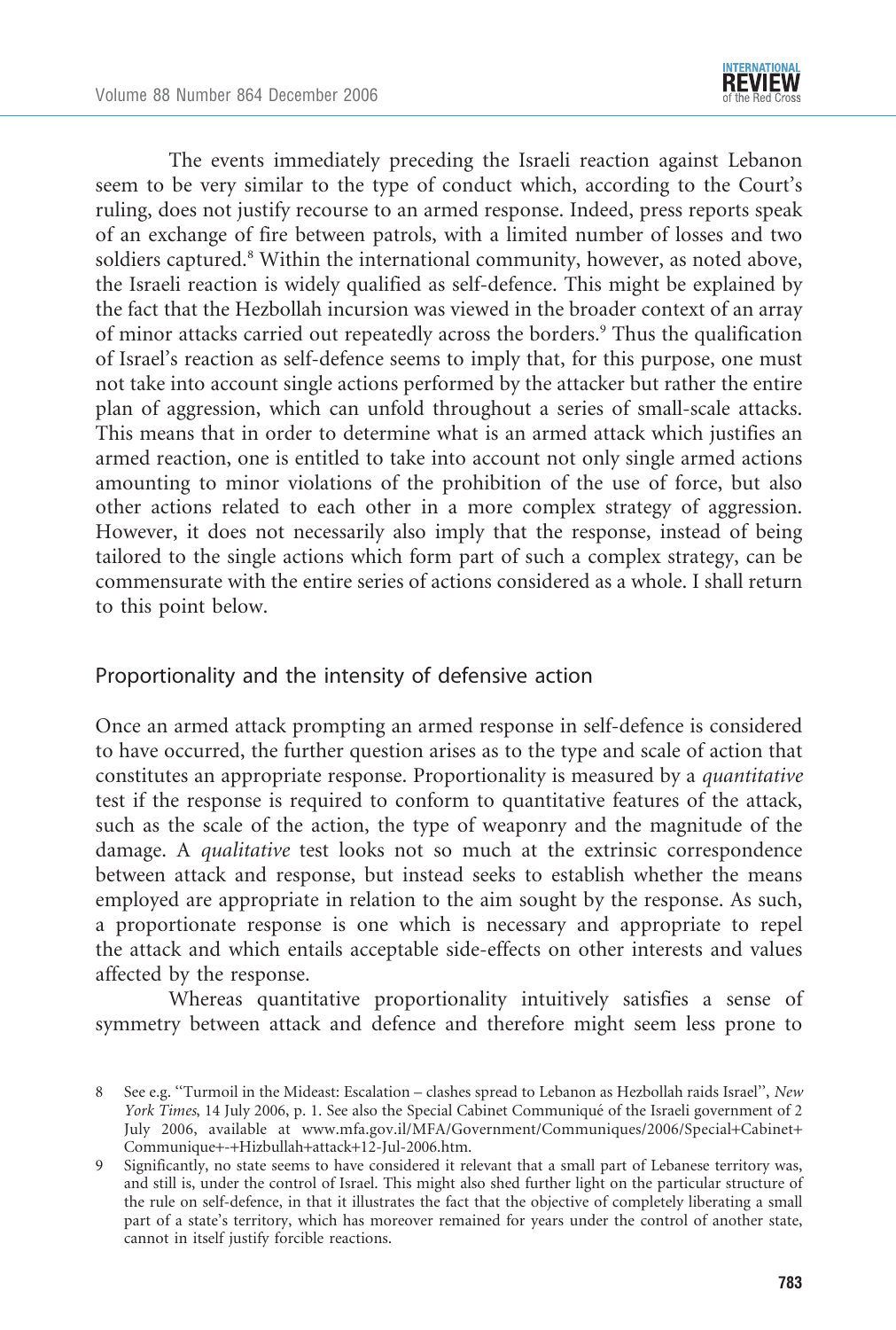

The events immediately preceding the Israeli reaction against Lebanon seem to be very similar to the type of conduct which, according to the Court's ruling, does not justify recourse to an armed response. Indeed, press reports speak of an exchange of fire between patrols, with a limited number of losses and two soldiers captured.<sup>8</sup> Within the international community, however, as noted above, the Israeli reaction is widely qualified as self-defence. This might be explained by the fact that the Hezbollah incursion was viewed in the broader context of an array of minor attacks carried out repeatedly across the borders.<sup>9</sup> Thus the qualification of Israel's reaction as self-defence seems to imply that, for this purpose, one must not take into account single actions performed by the attacker but rather the entire plan of aggression, which can unfold throughout a series of small-scale attacks. This means that in order to determine what is an armed attack which justifies an armed reaction, one is entitled to take into account not only single armed actions amounting to minor violations of the prohibition of the use of force, but also other actions related to each other in a more complex strategy of aggression. However, it does not necessarily also imply that the response, instead of being tailored to the single actions which form part of such a complex strategy, can be commensurate with the entire series of actions considered as a whole. I shall return to this point below.

# Proportionality and the intensity of defensive action

Once an armed attack prompting an armed response in self-defence is considered to have occurred, the further question arises as to the type and scale of action that constitutes an appropriate response. Proportionality is measured by a quantitative test if the response is required to conform to quantitative features of the attack, such as the scale of the action, the type of weaponry and the magnitude of the damage. A qualitative test looks not so much at the extrinsic correspondence between attack and response, but instead seeks to establish whether the means employed are appropriate in relation to the aim sought by the response. As such, a proportionate response is one which is necessary and appropriate to repel the attack and which entails acceptable side-effects on other interests and values affected by the response.

Whereas quantitative proportionality intuitively satisfies a sense of symmetry between attack and defence and therefore might seem less prone to

<sup>8</sup> See e.g. ''Turmoil in the Mideast: Escalation – clashes spread to Lebanon as Hezbollah raids Israel'', New York Times, 14 July 2006, p. 1. See also the Special Cabinet Communiqué of the Israeli government of 2 July 2006, available at www.mfa.gov.il/MFA/Government/Communiques/2006/Special+Cabinet+ Communique+-+Hizbullah+attack+12-Jul-2006.htm.

<sup>9</sup> Significantly, no state seems to have considered it relevant that a small part of Lebanese territory was, and still is, under the control of Israel. This might also shed further light on the particular structure of the rule on self-defence, in that it illustrates the fact that the objective of completely liberating a small part of a state's territory, which has moreover remained for years under the control of another state, cannot in itself justify forcible reactions.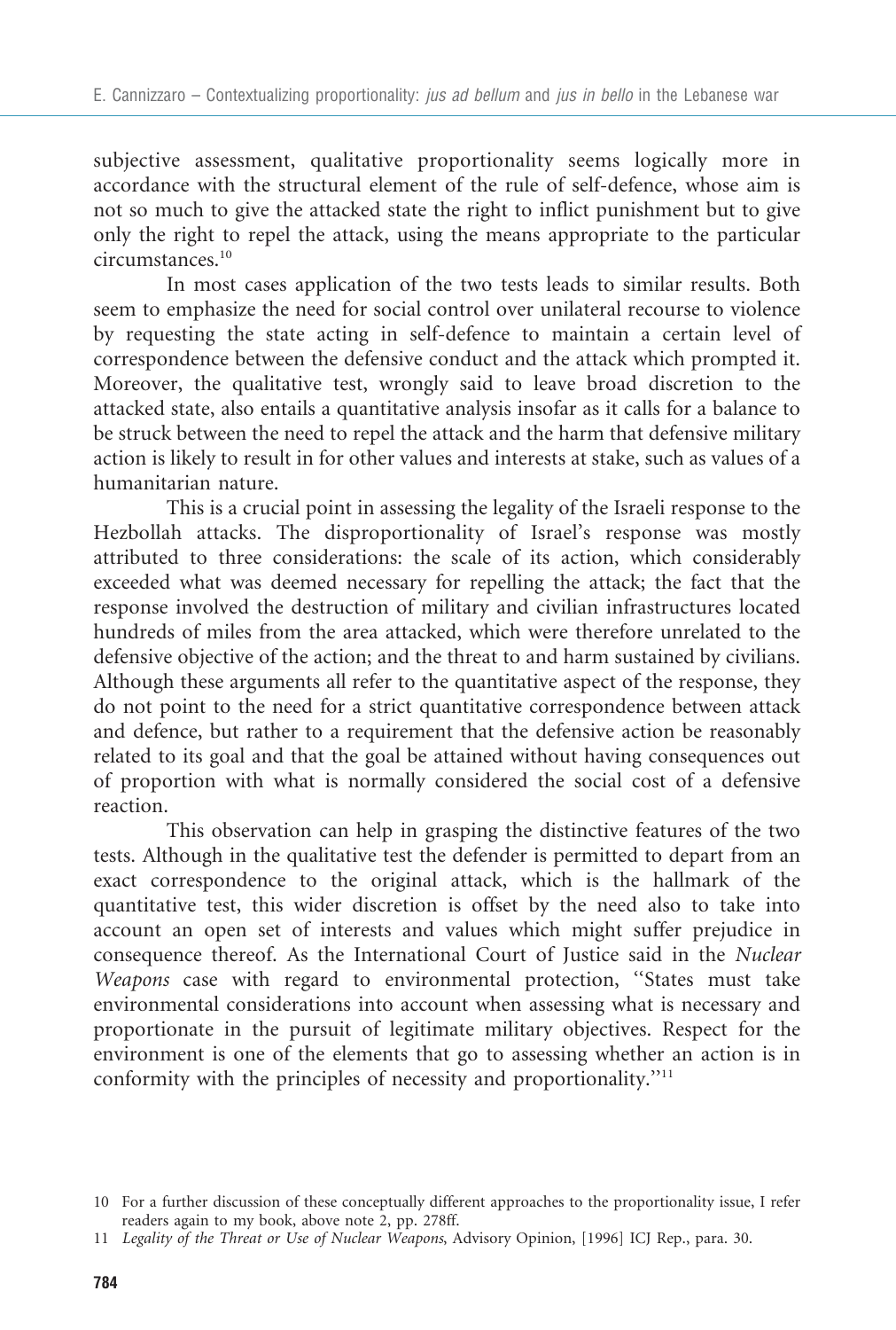subjective assessment, qualitative proportionality seems logically more in accordance with the structural element of the rule of self-defence, whose aim is not so much to give the attacked state the right to inflict punishment but to give only the right to repel the attack, using the means appropriate to the particular circumstances.10

In most cases application of the two tests leads to similar results. Both seem to emphasize the need for social control over unilateral recourse to violence by requesting the state acting in self-defence to maintain a certain level of correspondence between the defensive conduct and the attack which prompted it. Moreover, the qualitative test, wrongly said to leave broad discretion to the attacked state, also entails a quantitative analysis insofar as it calls for a balance to be struck between the need to repel the attack and the harm that defensive military action is likely to result in for other values and interests at stake, such as values of a humanitarian nature.

This is a crucial point in assessing the legality of the Israeli response to the Hezbollah attacks. The disproportionality of Israel's response was mostly attributed to three considerations: the scale of its action, which considerably exceeded what was deemed necessary for repelling the attack; the fact that the response involved the destruction of military and civilian infrastructures located hundreds of miles from the area attacked, which were therefore unrelated to the defensive objective of the action; and the threat to and harm sustained by civilians. Although these arguments all refer to the quantitative aspect of the response, they do not point to the need for a strict quantitative correspondence between attack and defence, but rather to a requirement that the defensive action be reasonably related to its goal and that the goal be attained without having consequences out of proportion with what is normally considered the social cost of a defensive reaction.

This observation can help in grasping the distinctive features of the two tests. Although in the qualitative test the defender is permitted to depart from an exact correspondence to the original attack, which is the hallmark of the quantitative test, this wider discretion is offset by the need also to take into account an open set of interests and values which might suffer prejudice in consequence thereof. As the International Court of Justice said in the Nuclear Weapons case with regard to environmental protection, ''States must take environmental considerations into account when assessing what is necessary and proportionate in the pursuit of legitimate military objectives. Respect for the environment is one of the elements that go to assessing whether an action is in conformity with the principles of necessity and proportionality.''11

<sup>10</sup> For a further discussion of these conceptually different approaches to the proportionality issue, I refer readers again to my book, above note 2, pp. 278ff.

<sup>11</sup> Legality of the Threat or Use of Nuclear Weapons, Advisory Opinion, [1996] ICJ Rep., para. 30.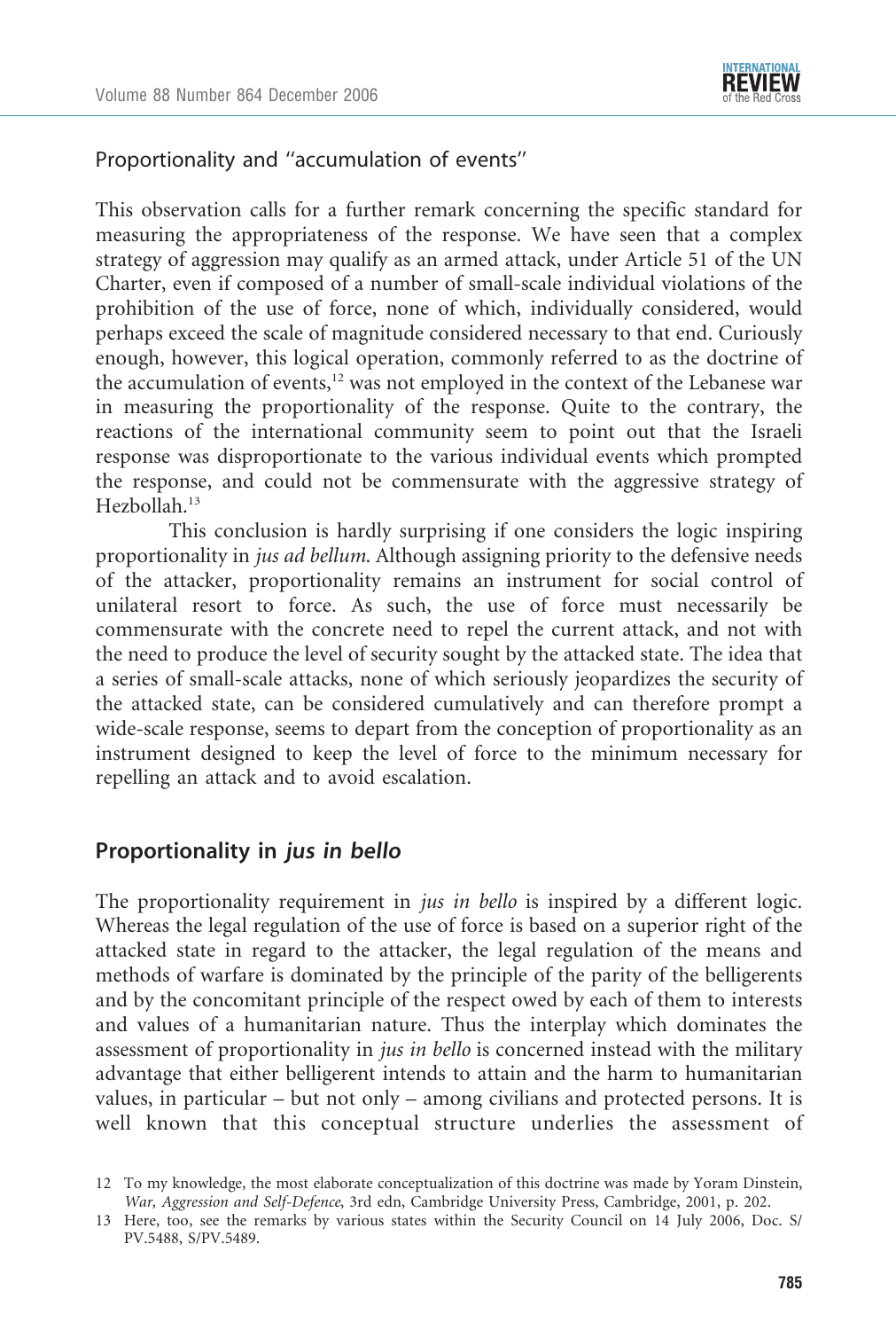

## Proportionality and ''accumulation of events''

This observation calls for a further remark concerning the specific standard for measuring the appropriateness of the response. We have seen that a complex strategy of aggression may qualify as an armed attack, under Article 51 of the UN Charter, even if composed of a number of small-scale individual violations of the prohibition of the use of force, none of which, individually considered, would perhaps exceed the scale of magnitude considered necessary to that end. Curiously enough, however, this logical operation, commonly referred to as the doctrine of the accumulation of events,<sup>12</sup> was not employed in the context of the Lebanese war in measuring the proportionality of the response. Quite to the contrary, the reactions of the international community seem to point out that the Israeli response was disproportionate to the various individual events which prompted the response, and could not be commensurate with the aggressive strategy of Hezbollah<sup>13</sup>

This conclusion is hardly surprising if one considers the logic inspiring proportionality in jus ad bellum. Although assigning priority to the defensive needs of the attacker, proportionality remains an instrument for social control of unilateral resort to force. As such, the use of force must necessarily be commensurate with the concrete need to repel the current attack, and not with the need to produce the level of security sought by the attacked state. The idea that a series of small-scale attacks, none of which seriously jeopardizes the security of the attacked state, can be considered cumulatively and can therefore prompt a wide-scale response, seems to depart from the conception of proportionality as an instrument designed to keep the level of force to the minimum necessary for repelling an attack and to avoid escalation.

# Proportionality in jus in bello

The proportionality requirement in *jus in bello* is inspired by a different logic. Whereas the legal regulation of the use of force is based on a superior right of the attacked state in regard to the attacker, the legal regulation of the means and methods of warfare is dominated by the principle of the parity of the belligerents and by the concomitant principle of the respect owed by each of them to interests and values of a humanitarian nature. Thus the interplay which dominates the assessment of proportionality in jus in bello is concerned instead with the military advantage that either belligerent intends to attain and the harm to humanitarian values, in particular – but not only – among civilians and protected persons. It is well known that this conceptual structure underlies the assessment of

<sup>12</sup> To my knowledge, the most elaborate conceptualization of this doctrine was made by Yoram Dinstein, War, Aggression and Self-Defence, 3rd edn, Cambridge University Press, Cambridge, 2001, p. 202.

<sup>13</sup> Here, too, see the remarks by various states within the Security Council on 14 July 2006, Doc. S/ PV.5488, S/PV.5489.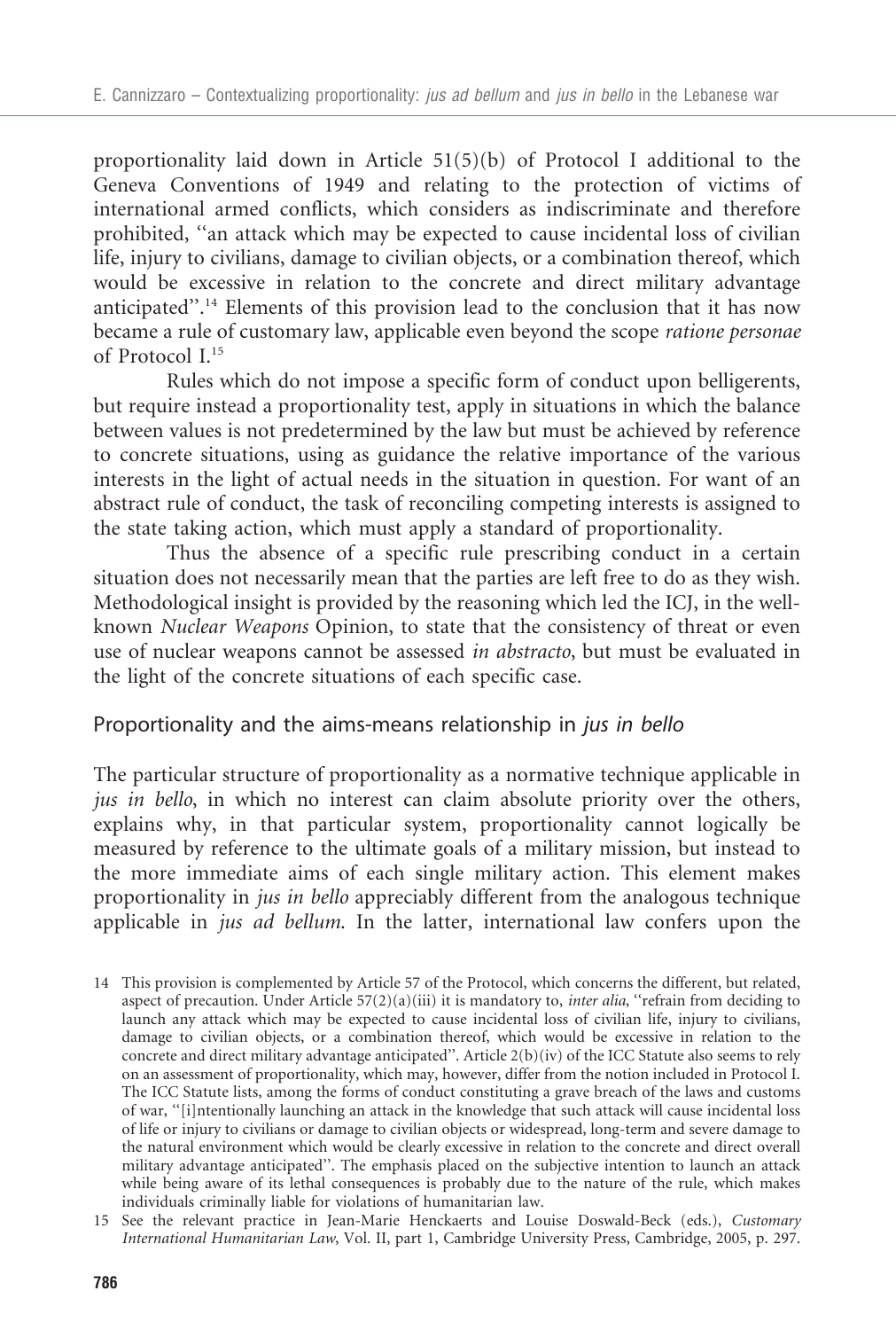proportionality laid down in Article 51(5)(b) of Protocol I additional to the Geneva Conventions of 1949 and relating to the protection of victims of international armed conflicts, which considers as indiscriminate and therefore prohibited, ''an attack which may be expected to cause incidental loss of civilian life, injury to civilians, damage to civilian objects, or a combination thereof, which would be excessive in relation to the concrete and direct military advantage anticipated''.14 Elements of this provision lead to the conclusion that it has now became a rule of customary law, applicable even beyond the scope ratione personae of Protocol I.15

Rules which do not impose a specific form of conduct upon belligerents, but require instead a proportionality test, apply in situations in which the balance between values is not predetermined by the law but must be achieved by reference to concrete situations, using as guidance the relative importance of the various interests in the light of actual needs in the situation in question. For want of an abstract rule of conduct, the task of reconciling competing interests is assigned to the state taking action, which must apply a standard of proportionality.

Thus the absence of a specific rule prescribing conduct in a certain situation does not necessarily mean that the parties are left free to do as they wish. Methodological insight is provided by the reasoning which led the ICJ, in the wellknown Nuclear Weapons Opinion, to state that the consistency of threat or even use of nuclear weapons cannot be assessed in abstracto, but must be evaluated in the light of the concrete situations of each specific case.

# Proportionality and the aims-means relationship in jus in bello

The particular structure of proportionality as a normative technique applicable in jus in bello, in which no interest can claim absolute priority over the others, explains why, in that particular system, proportionality cannot logically be measured by reference to the ultimate goals of a military mission, but instead to the more immediate aims of each single military action. This element makes proportionality in *jus in bello* appreciably different from the analogous technique applicable in jus ad bellum. In the latter, international law confers upon the

- 14 This provision is complemented by Article 57 of the Protocol, which concerns the different, but related, aspect of precaution. Under Article  $57(2)(a)(iii)$  it is mandatory to, *inter alia*, "refrain from deciding to launch any attack which may be expected to cause incidental loss of civilian life, injury to civilians, damage to civilian objects, or a combination thereof, which would be excessive in relation to the concrete and direct military advantage anticipated''. Article 2(b)(iv) of the ICC Statute also seems to rely on an assessment of proportionality, which may, however, differ from the notion included in Protocol I. The ICC Statute lists, among the forms of conduct constituting a grave breach of the laws and customs of war, ''[i]ntentionally launching an attack in the knowledge that such attack will cause incidental loss of life or injury to civilians or damage to civilian objects or widespread, long-term and severe damage to the natural environment which would be clearly excessive in relation to the concrete and direct overall military advantage anticipated''. The emphasis placed on the subjective intention to launch an attack while being aware of its lethal consequences is probably due to the nature of the rule, which makes individuals criminally liable for violations of humanitarian law.
- 15 See the relevant practice in Jean-Marie Henckaerts and Louise Doswald-Beck (eds.), Customary International Humanitarian Law, Vol. II, part 1, Cambridge University Press, Cambridge, 2005, p. 297.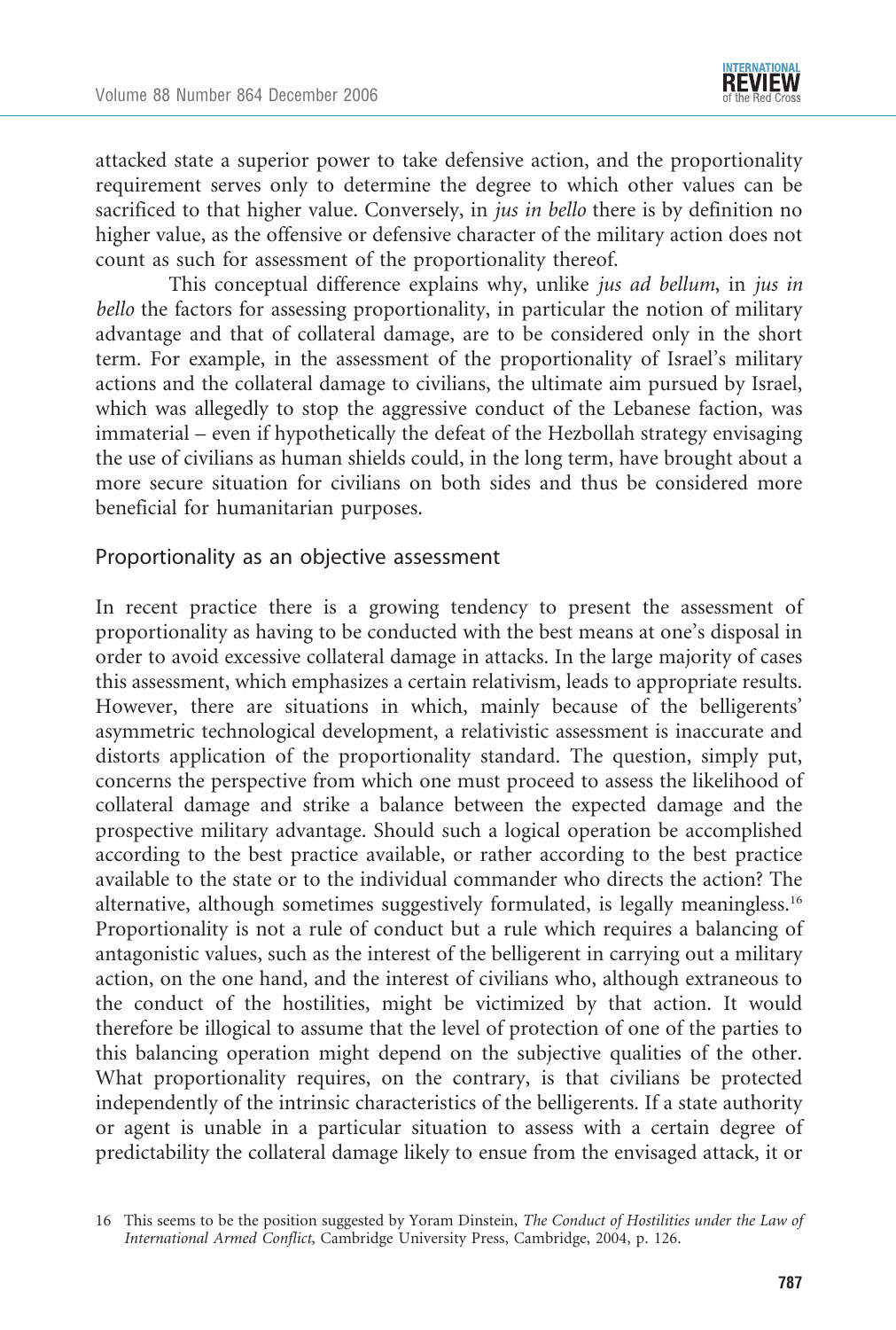attacked state a superior power to take defensive action, and the proportionality requirement serves only to determine the degree to which other values can be sacrificed to that higher value. Conversely, in jus in bello there is by definition no higher value, as the offensive or defensive character of the military action does not count as such for assessment of the proportionality thereof.

This conceptual difference explains why, unlike jus ad bellum, in jus in bello the factors for assessing proportionality, in particular the notion of military advantage and that of collateral damage, are to be considered only in the short term. For example, in the assessment of the proportionality of Israel's military actions and the collateral damage to civilians, the ultimate aim pursued by Israel, which was allegedly to stop the aggressive conduct of the Lebanese faction, was immaterial – even if hypothetically the defeat of the Hezbollah strategy envisaging the use of civilians as human shields could, in the long term, have brought about a more secure situation for civilians on both sides and thus be considered more beneficial for humanitarian purposes.

## Proportionality as an objective assessment

In recent practice there is a growing tendency to present the assessment of proportionality as having to be conducted with the best means at one's disposal in order to avoid excessive collateral damage in attacks. In the large majority of cases this assessment, which emphasizes a certain relativism, leads to appropriate results. However, there are situations in which, mainly because of the belligerents' asymmetric technological development, a relativistic assessment is inaccurate and distorts application of the proportionality standard. The question, simply put, concerns the perspective from which one must proceed to assess the likelihood of collateral damage and strike a balance between the expected damage and the prospective military advantage. Should such a logical operation be accomplished according to the best practice available, or rather according to the best practice available to the state or to the individual commander who directs the action? The alternative, although sometimes suggestively formulated, is legally meaningless.<sup>16</sup> Proportionality is not a rule of conduct but a rule which requires a balancing of antagonistic values, such as the interest of the belligerent in carrying out a military action, on the one hand, and the interest of civilians who, although extraneous to the conduct of the hostilities, might be victimized by that action. It would therefore be illogical to assume that the level of protection of one of the parties to this balancing operation might depend on the subjective qualities of the other. What proportionality requires, on the contrary, is that civilians be protected independently of the intrinsic characteristics of the belligerents. If a state authority or agent is unable in a particular situation to assess with a certain degree of predictability the collateral damage likely to ensue from the envisaged attack, it or

<sup>16</sup> This seems to be the position suggested by Yoram Dinstein, The Conduct of Hostilities under the Law of International Armed Conflict, Cambridge University Press, Cambridge, 2004, p. 126.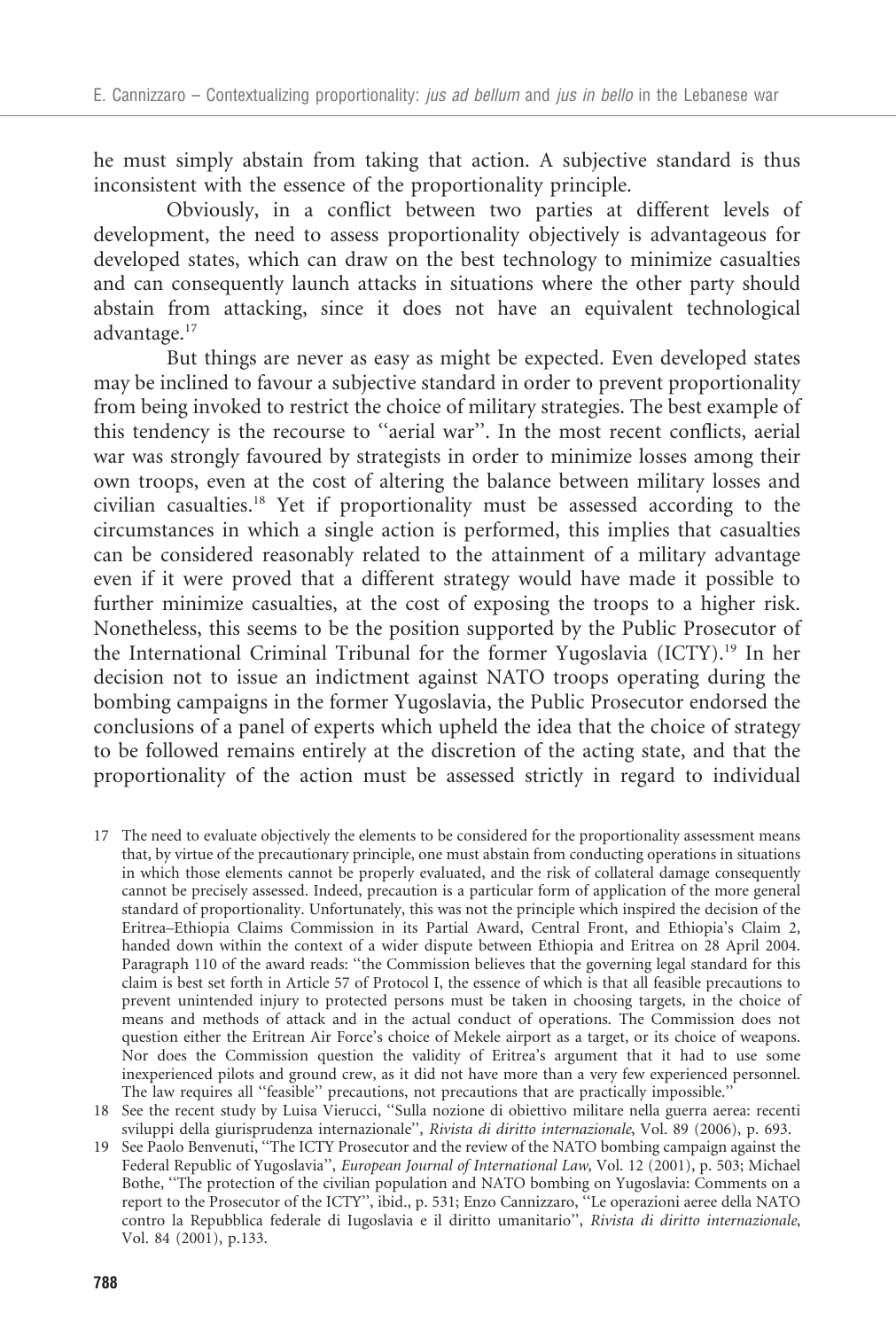he must simply abstain from taking that action. A subjective standard is thus inconsistent with the essence of the proportionality principle.

Obviously, in a conflict between two parties at different levels of development, the need to assess proportionality objectively is advantageous for developed states, which can draw on the best technology to minimize casualties and can consequently launch attacks in situations where the other party should abstain from attacking, since it does not have an equivalent technological advantage.<sup>17</sup>

But things are never as easy as might be expected. Even developed states may be inclined to favour a subjective standard in order to prevent proportionality from being invoked to restrict the choice of military strategies. The best example of this tendency is the recourse to ''aerial war''. In the most recent conflicts, aerial war was strongly favoured by strategists in order to minimize losses among their own troops, even at the cost of altering the balance between military losses and civilian casualties.18 Yet if proportionality must be assessed according to the circumstances in which a single action is performed, this implies that casualties can be considered reasonably related to the attainment of a military advantage even if it were proved that a different strategy would have made it possible to further minimize casualties, at the cost of exposing the troops to a higher risk. Nonetheless, this seems to be the position supported by the Public Prosecutor of the International Criminal Tribunal for the former Yugoslavia (ICTY).<sup>19</sup> In her decision not to issue an indictment against NATO troops operating during the bombing campaigns in the former Yugoslavia, the Public Prosecutor endorsed the conclusions of a panel of experts which upheld the idea that the choice of strategy to be followed remains entirely at the discretion of the acting state, and that the proportionality of the action must be assessed strictly in regard to individual

17 The need to evaluate objectively the elements to be considered for the proportionality assessment means that, by virtue of the precautionary principle, one must abstain from conducting operations in situations in which those elements cannot be properly evaluated, and the risk of collateral damage consequently cannot be precisely assessed. Indeed, precaution is a particular form of application of the more general standard of proportionality. Unfortunately, this was not the principle which inspired the decision of the Eritrea–Ethiopia Claims Commission in its Partial Award, Central Front, and Ethiopia's Claim 2, handed down within the context of a wider dispute between Ethiopia and Eritrea on 28 April 2004. Paragraph 110 of the award reads: ''the Commission believes that the governing legal standard for this claim is best set forth in Article 57 of Protocol I, the essence of which is that all feasible precautions to prevent unintended injury to protected persons must be taken in choosing targets, in the choice of means and methods of attack and in the actual conduct of operations. The Commission does not question either the Eritrean Air Force's choice of Mekele airport as a target, or its choice of weapons. Nor does the Commission question the validity of Eritrea's argument that it had to use some inexperienced pilots and ground crew, as it did not have more than a very few experienced personnel. The law requires all ''feasible'' precautions, not precautions that are practically impossible.''

18 See the recent study by Luisa Vierucci, ''Sulla nozione di obiettivo militare nella guerra aerea: recenti sviluppi della giurisprudenza internazionale'', Rivista di diritto internazionale, Vol. 89 (2006), p. 693.

19 See Paolo Benvenuti, ''The ICTY Prosecutor and the review of the NATO bombing campaign against the Federal Republic of Yugoslavia'', European Journal of International Law, Vol. 12 (2001), p. 503; Michael Bothe, ''The protection of the civilian population and NATO bombing on Yugoslavia: Comments on a report to the Prosecutor of the ICTY'', ibid., p. 531; Enzo Cannizzaro, ''Le operazioni aeree della NATO contro la Repubblica federale di Iugoslavia e il diritto umanitario'', Rivista di diritto internazionale, Vol. 84 (2001), p.133.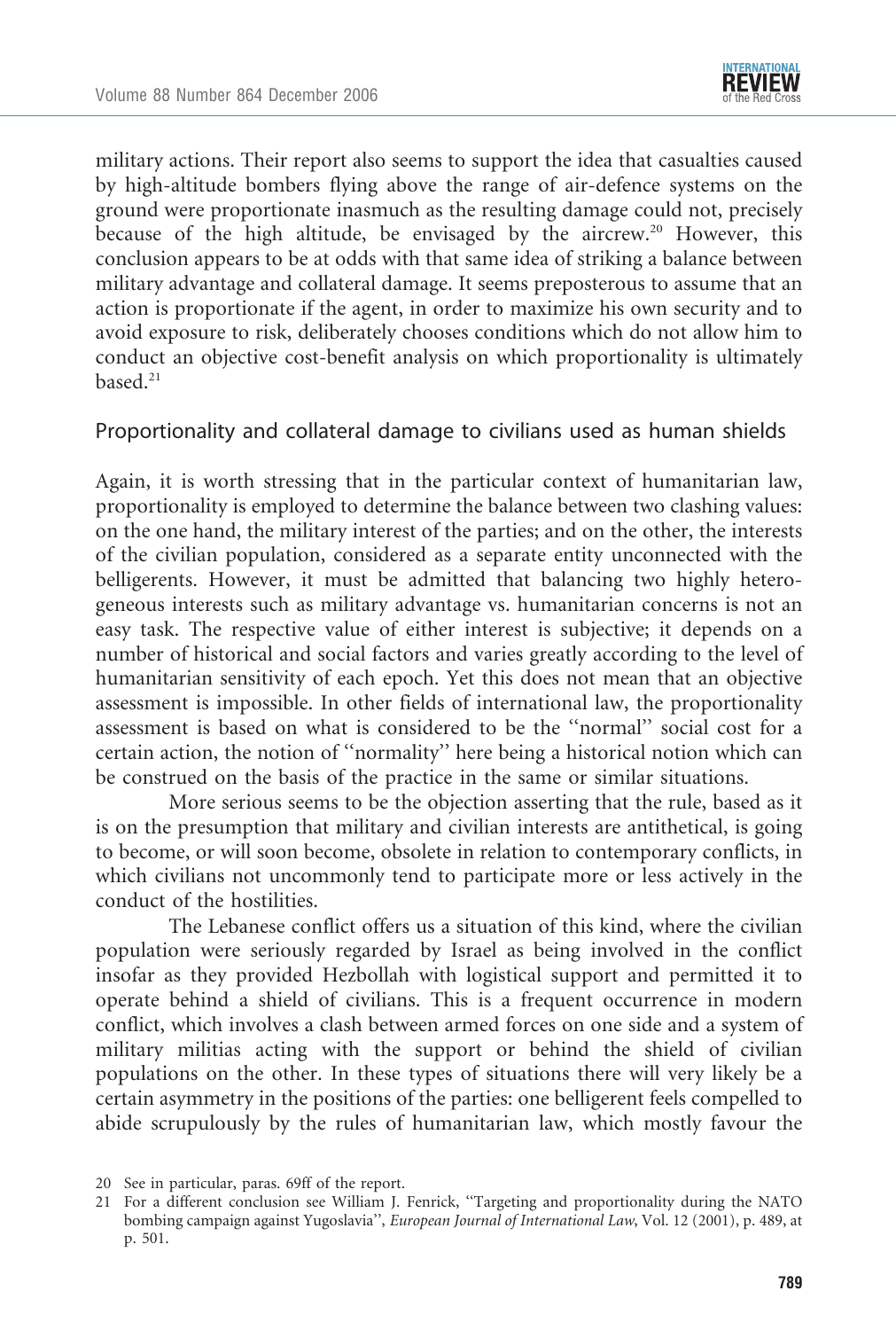

military actions. Their report also seems to support the idea that casualties caused by high-altitude bombers flying above the range of air-defence systems on the ground were proportionate inasmuch as the resulting damage could not, precisely because of the high altitude, be envisaged by the aircrew.<sup>20</sup> However, this conclusion appears to be at odds with that same idea of striking a balance between military advantage and collateral damage. It seems preposterous to assume that an action is proportionate if the agent, in order to maximize his own security and to avoid exposure to risk, deliberately chooses conditions which do not allow him to conduct an objective cost-benefit analysis on which proportionality is ultimately  $based<sup>21</sup>$ 

## Proportionality and collateral damage to civilians used as human shields

Again, it is worth stressing that in the particular context of humanitarian law, proportionality is employed to determine the balance between two clashing values: on the one hand, the military interest of the parties; and on the other, the interests of the civilian population, considered as a separate entity unconnected with the belligerents. However, it must be admitted that balancing two highly heterogeneous interests such as military advantage vs. humanitarian concerns is not an easy task. The respective value of either interest is subjective; it depends on a number of historical and social factors and varies greatly according to the level of humanitarian sensitivity of each epoch. Yet this does not mean that an objective assessment is impossible. In other fields of international law, the proportionality assessment is based on what is considered to be the ''normal'' social cost for a certain action, the notion of ''normality'' here being a historical notion which can be construed on the basis of the practice in the same or similar situations.

More serious seems to be the objection asserting that the rule, based as it is on the presumption that military and civilian interests are antithetical, is going to become, or will soon become, obsolete in relation to contemporary conflicts, in which civilians not uncommonly tend to participate more or less actively in the conduct of the hostilities.

The Lebanese conflict offers us a situation of this kind, where the civilian population were seriously regarded by Israel as being involved in the conflict insofar as they provided Hezbollah with logistical support and permitted it to operate behind a shield of civilians. This is a frequent occurrence in modern conflict, which involves a clash between armed forces on one side and a system of military militias acting with the support or behind the shield of civilian populations on the other. In these types of situations there will very likely be a certain asymmetry in the positions of the parties: one belligerent feels compelled to abide scrupulously by the rules of humanitarian law, which mostly favour the

<sup>20</sup> See in particular, paras. 69ff of the report.

<sup>21</sup> For a different conclusion see William J. Fenrick, ''Targeting and proportionality during the NATO bombing campaign against Yugoslavia'', European Journal of International Law, Vol. 12 (2001), p. 489, at p. 501.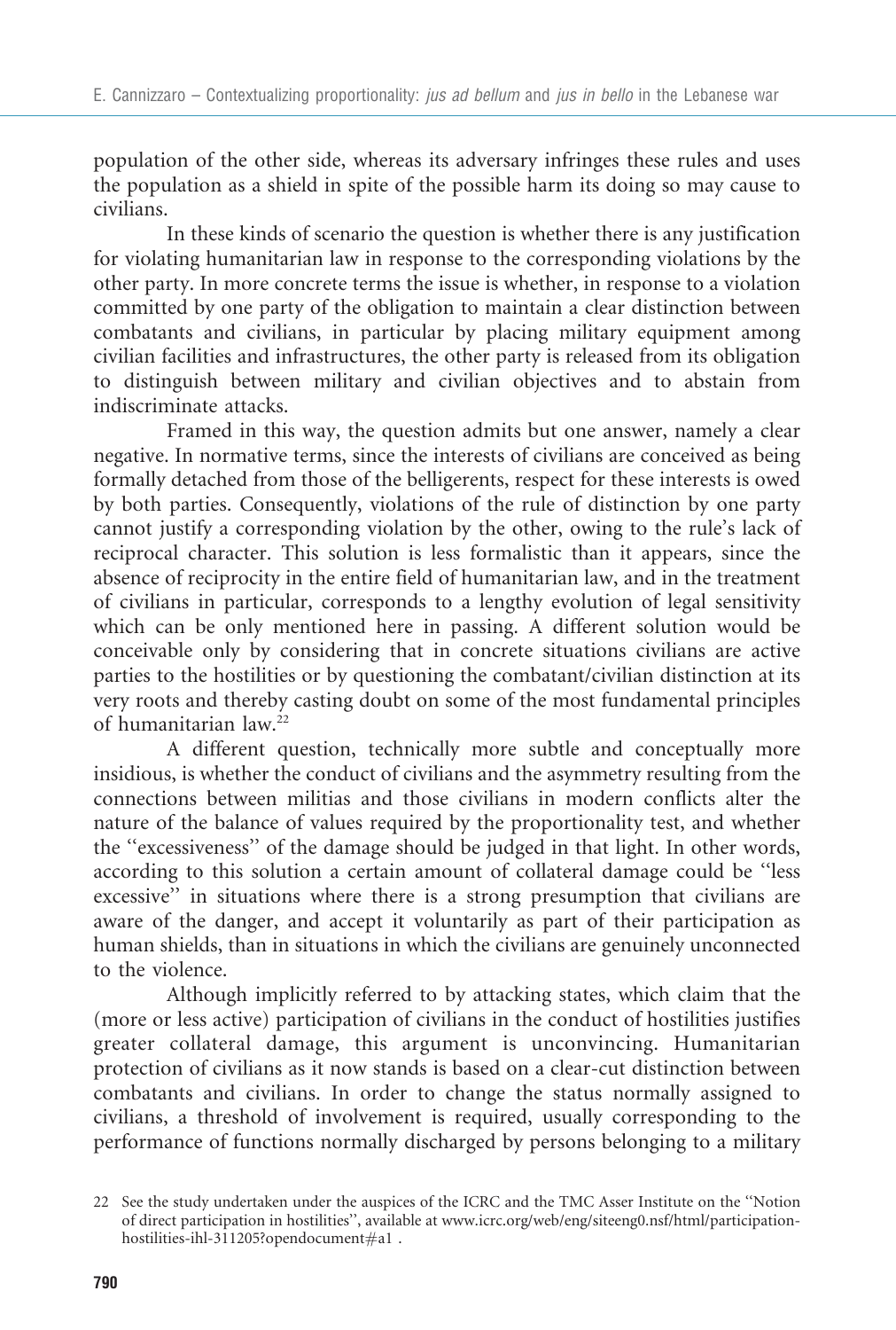population of the other side, whereas its adversary infringes these rules and uses the population as a shield in spite of the possible harm its doing so may cause to civilians.

In these kinds of scenario the question is whether there is any justification for violating humanitarian law in response to the corresponding violations by the other party. In more concrete terms the issue is whether, in response to a violation committed by one party of the obligation to maintain a clear distinction between combatants and civilians, in particular by placing military equipment among civilian facilities and infrastructures, the other party is released from its obligation to distinguish between military and civilian objectives and to abstain from indiscriminate attacks.

Framed in this way, the question admits but one answer, namely a clear negative. In normative terms, since the interests of civilians are conceived as being formally detached from those of the belligerents, respect for these interests is owed by both parties. Consequently, violations of the rule of distinction by one party cannot justify a corresponding violation by the other, owing to the rule's lack of reciprocal character. This solution is less formalistic than it appears, since the absence of reciprocity in the entire field of humanitarian law, and in the treatment of civilians in particular, corresponds to a lengthy evolution of legal sensitivity which can be only mentioned here in passing. A different solution would be conceivable only by considering that in concrete situations civilians are active parties to the hostilities or by questioning the combatant/civilian distinction at its very roots and thereby casting doubt on some of the most fundamental principles of humanitarian law. $22$ 

A different question, technically more subtle and conceptually more insidious, is whether the conduct of civilians and the asymmetry resulting from the connections between militias and those civilians in modern conflicts alter the nature of the balance of values required by the proportionality test, and whether the ''excessiveness'' of the damage should be judged in that light. In other words, according to this solution a certain amount of collateral damage could be ''less excessive" in situations where there is a strong presumption that civilians are aware of the danger, and accept it voluntarily as part of their participation as human shields, than in situations in which the civilians are genuinely unconnected to the violence.

Although implicitly referred to by attacking states, which claim that the (more or less active) participation of civilians in the conduct of hostilities justifies greater collateral damage, this argument is unconvincing. Humanitarian protection of civilians as it now stands is based on a clear-cut distinction between combatants and civilians. In order to change the status normally assigned to civilians, a threshold of involvement is required, usually corresponding to the performance of functions normally discharged by persons belonging to a military

<sup>22</sup> See the study undertaken under the auspices of the ICRC and the TMC Asser Institute on the ''Notion of direct participation in hostilities'', available at www.icrc.org/web/eng/siteeng0.nsf/html/participationhostilities-ihl-311205?opendocument*#*a1 .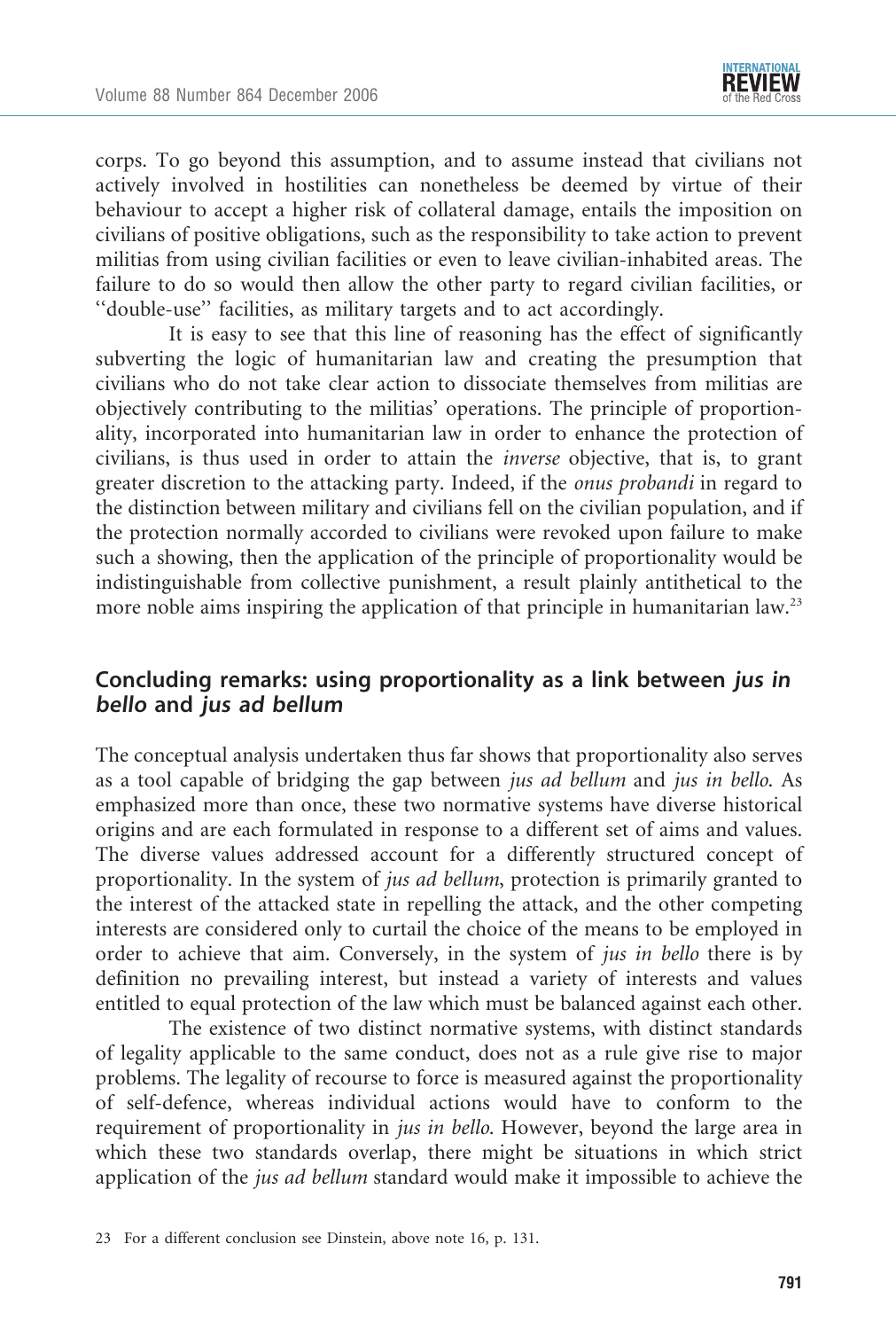

corps. To go beyond this assumption, and to assume instead that civilians not actively involved in hostilities can nonetheless be deemed by virtue of their behaviour to accept a higher risk of collateral damage, entails the imposition on civilians of positive obligations, such as the responsibility to take action to prevent militias from using civilian facilities or even to leave civilian-inhabited areas. The failure to do so would then allow the other party to regard civilian facilities, or ''double-use'' facilities, as military targets and to act accordingly.

It is easy to see that this line of reasoning has the effect of significantly subverting the logic of humanitarian law and creating the presumption that civilians who do not take clear action to dissociate themselves from militias are objectively contributing to the militias' operations. The principle of proportionality, incorporated into humanitarian law in order to enhance the protection of civilians, is thus used in order to attain the inverse objective, that is, to grant greater discretion to the attacking party. Indeed, if the onus probandi in regard to the distinction between military and civilians fell on the civilian population, and if the protection normally accorded to civilians were revoked upon failure to make such a showing, then the application of the principle of proportionality would be indistinguishable from collective punishment, a result plainly antithetical to the more noble aims inspiring the application of that principle in humanitarian law.<sup>23</sup>

# Concluding remarks: using proportionality as a link between jus in bello and jus ad bellum

The conceptual analysis undertaken thus far shows that proportionality also serves as a tool capable of bridging the gap between jus ad bellum and jus in bello. As emphasized more than once, these two normative systems have diverse historical origins and are each formulated in response to a different set of aims and values. The diverse values addressed account for a differently structured concept of proportionality. In the system of jus ad bellum, protection is primarily granted to the interest of the attacked state in repelling the attack, and the other competing interests are considered only to curtail the choice of the means to be employed in order to achieve that aim. Conversely, in the system of jus in bello there is by definition no prevailing interest, but instead a variety of interests and values entitled to equal protection of the law which must be balanced against each other.

The existence of two distinct normative systems, with distinct standards of legality applicable to the same conduct, does not as a rule give rise to major problems. The legality of recourse to force is measured against the proportionality of self-defence, whereas individual actions would have to conform to the requirement of proportionality in *jus in bello*. However, beyond the large area in which these two standards overlap, there might be situations in which strict application of the jus ad bellum standard would make it impossible to achieve the